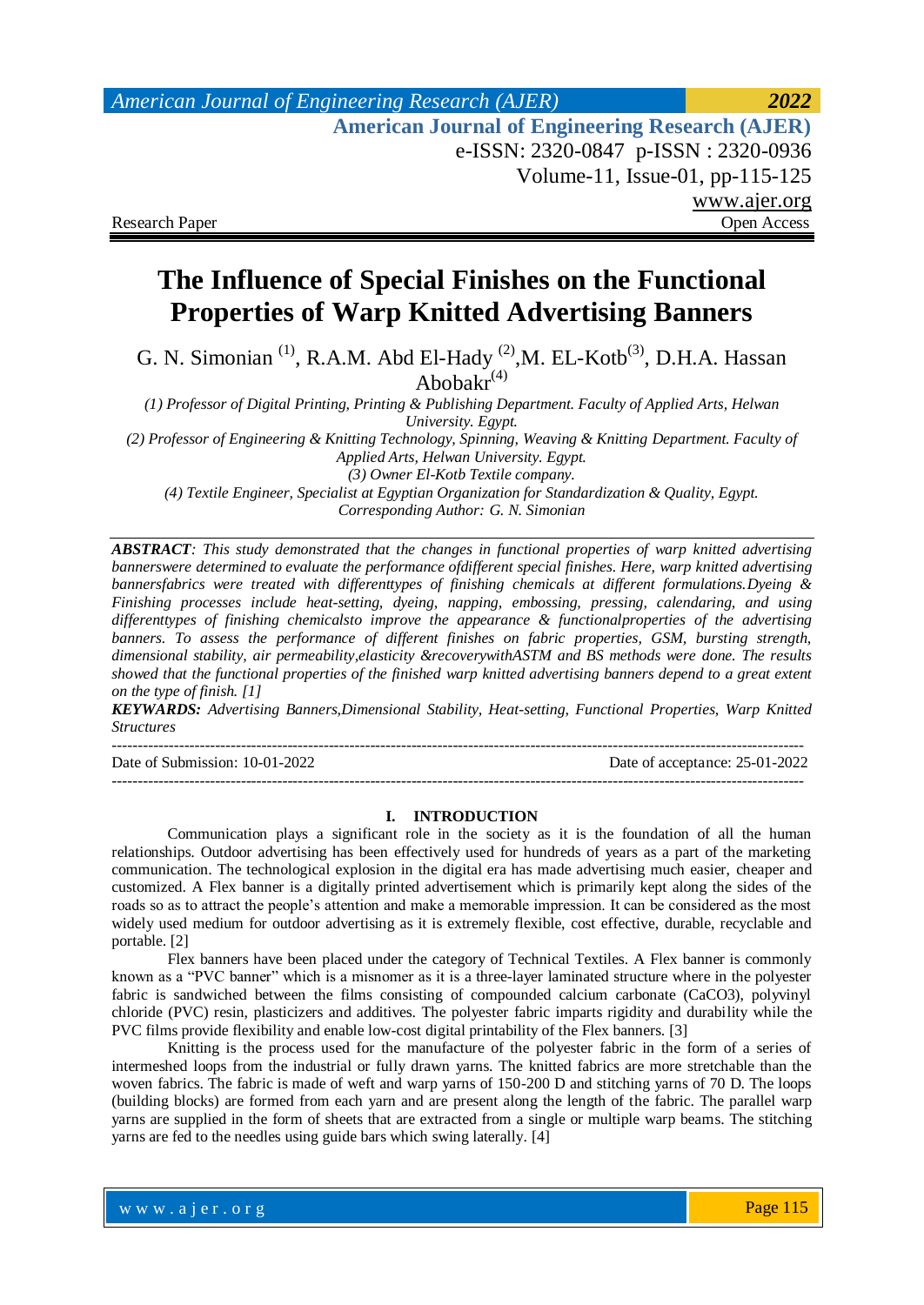# *American Journal of Engineering Research (AJER) 2022*  **American Journal of Engineering Research (AJER)** e-ISSN: 2320-0847 p-ISSN : 2320-0936 Volume-11, Issue-01, pp-115-125 www.ajer.org Research Paper **Open Access** Open Access **Open Access**

# **The Influence of Special Finishes on the Functional Properties of Warp Knitted Advertising Banners**

G. N. Simonian<sup>(1)</sup>, R.A.M. Abd El-Hady<sup>(2)</sup>, M. EL-Kotb<sup>(3)</sup>, D.H.A. Hassan Abobakr $(4)$ 

*(1) Professor of Digital Printing, Printing & Publishing Department. Faculty of Applied Arts, Helwan University. Egypt.*

*(2) Professor of Engineering & Knitting Technology, Spinning, Weaving & Knitting Department. Faculty of Applied Arts, Helwan University. Egypt.*

*(3) Owner El-Kotb Textile company. (4) Textile Engineer, Specialist at Egyptian Organization for Standardization & Quality, Egypt. Corresponding Author: G. N. Simonian*

*ABSTRACT: This study demonstrated that the changes in functional properties of warp knitted advertising bannerswere determined to evaluate the performance ofdifferent special finishes. Here, warp knitted advertising bannersfabrics were treated with differenttypes of finishing chemicals at different formulations.Dyeing & Finishing processes include heat-setting, dyeing, napping, embossing, pressing, calendaring, and using differenttypes of finishing chemicalsto improve the appearance & functionalproperties of the advertising banners. To assess the performance of different finishes on fabric properties, GSM, bursting strength, dimensional stability, air permeability,elasticity &recoverywithASTM and BS methods were done. The results showed that the functional properties of the finished warp knitted advertising banners depend to a great extent on the type of finish. [1]*

*KEYWARDS: Advertising Banners,Dimensional Stability, Heat-setting, Functional Properties, Warp Knitted Structures*

--------------------------------------------------------------------------------------------------------------------------------------

--------------------------------------------------------------------------------------------------------------------------------------

Date of Submission: 10-01-2022 Date of acceptance: 25-01-2022

#### **I. INTRODUCTION**

Communication plays a significant role in the society as it is the foundation of all the human relationships. Outdoor advertising has been effectively used for hundreds of years as a part of the marketing communication. The technological explosion in the digital era has made advertising much easier, cheaper and customized. A Flex banner is a digitally printed advertisement which is primarily kept along the sides of the roads so as to attract the people's attention and make a memorable impression. It can be considered as the most widely used medium for outdoor advertising as it is extremely flexible, cost effective, durable, recyclable and portable. [2]

Flex banners have been placed under the category of Technical Textiles. A Flex banner is commonly known as a "PVC banner" which is a misnomer as it is a three-layer laminated structure where in the polyester fabric is sandwiched between the films consisting of compounded calcium carbonate (CaCO3), polyvinyl chloride (PVC) resin, plasticizers and additives. The polyester fabric imparts rigidity and durability while the PVC films provide flexibility and enable low-cost digital printability of the Flex banners. [3]

Knitting is the process used for the manufacture of the polyester fabric in the form of a series of intermeshed loops from the industrial or fully drawn yarns. The knitted fabrics are more stretchable than the woven fabrics. The fabric is made of weft and warp yarns of 150-200 D and stitching yarns of 70 D. The loops (building blocks) are formed from each yarn and are present along the length of the fabric. The parallel warp yarns are supplied in the form of sheets that are extracted from a single or multiple warp beams. The stitching yarns are fed to the needles using guide bars which swing laterally. [4]

Page 115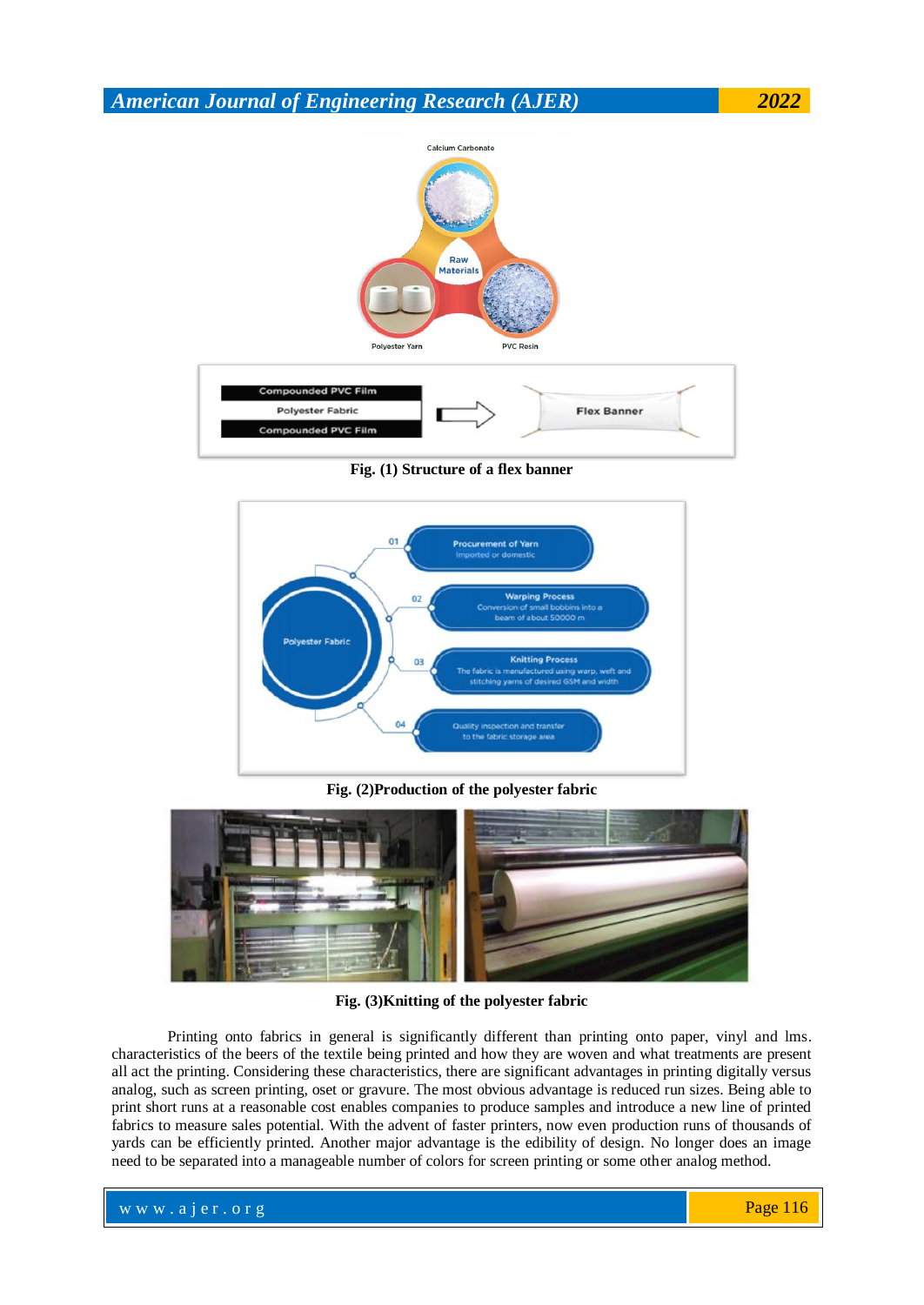

**Fig. (1) Structure of a flex banner**



**Fig. (2)Production of the polyester fabric**



**Fig. (3)Knitting of the polyester fabric**

Printing onto fabrics in general is significantly different than printing onto paper, vinyl and lms. characteristics of the beers of the textile being printed and how they are woven and what treatments are present all act the printing. Considering these characteristics, there are significant advantages in printing digitally versus analog, such as screen printing, oset or gravure. The most obvious advantage is reduced run sizes. Being able to print short runs at a reasonable cost enables companies to produce samples and introduce a new line of printed fabrics to measure sales potential. With the advent of faster printers, now even production runs of thousands of yards can be efficiently printed. Another major advantage is the edibility of design. No longer does an image need to be separated into a manageable number of colors for screen printing or some other analog method.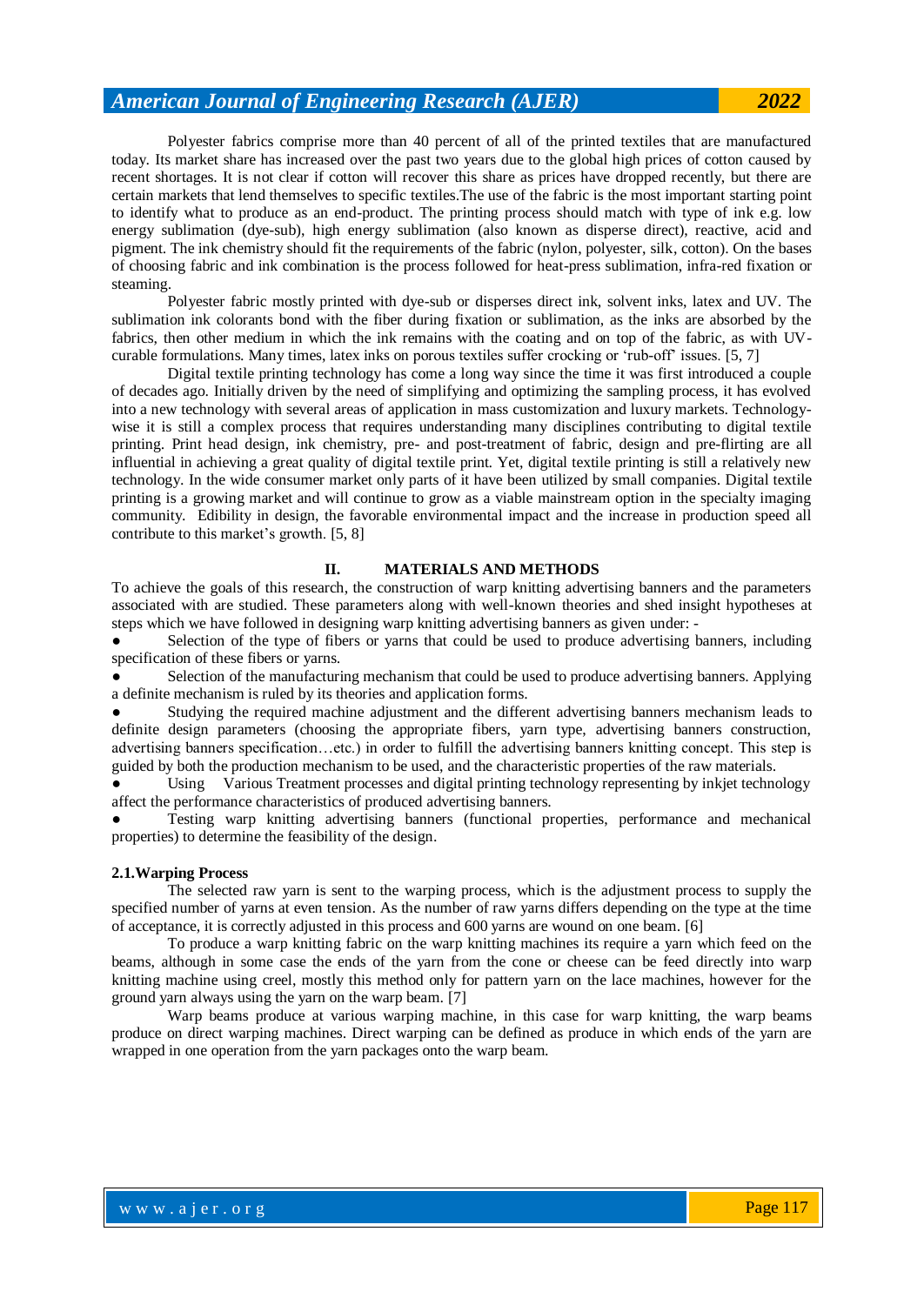Polyester fabrics comprise more than 40 percent of all of the printed textiles that are manufactured today. Its market share has increased over the past two years due to the global high prices of cotton caused by recent shortages. It is not clear if cotton will recover this share as prices have dropped recently, but there are certain markets that lend themselves to specific textiles.The use of the fabric is the most important starting point to identify what to produce as an end-product. The printing process should match with type of ink e.g. low energy sublimation (dye-sub), high energy sublimation (also known as disperse direct), reactive, acid and pigment. The ink chemistry should fit the requirements of the fabric (nylon, polyester, silk, cotton). On the bases of choosing fabric and ink combination is the process followed for heat-press sublimation, infra-red fixation or steaming.

Polyester fabric mostly printed with dye-sub or disperses direct ink, solvent inks, latex and UV. The sublimation ink colorants bond with the fiber during fixation or sublimation, as the inks are absorbed by the fabrics, then other medium in which the ink remains with the coating and on top of the fabric, as with UVcurable formulations. Many times, latex inks on porous textiles suffer crocking or 'rub-off' issues. [5, 7]

Digital textile printing technology has come a long way since the time it was first introduced a couple of decades ago. Initially driven by the need of simplifying and optimizing the sampling process, it has evolved into a new technology with several areas of application in mass customization and luxury markets. Technologywise it is still a complex process that requires understanding many disciplines contributing to digital textile printing. Print head design, ink chemistry, pre- and post-treatment of fabric, design and pre-flirting are all influential in achieving a great quality of digital textile print. Yet, digital textile printing is still a relatively new technology. In the wide consumer market only parts of it have been utilized by small companies. Digital textile printing is a growing market and will continue to grow as a viable mainstream option in the specialty imaging community. Edibility in design, the favorable environmental impact and the increase in production speed all contribute to this market's growth. [5, 8]

#### **II. MATERIALS AND METHODS**

To achieve the goals of this research, the construction of warp knitting advertising banners and the parameters associated with are studied. These parameters along with well-known theories and shed insight hypotheses at steps which we have followed in designing warp knitting advertising banners as given under: -

Selection of the type of fibers or yarns that could be used to produce advertising banners, including specification of these fibers or yarns.

Selection of the manufacturing mechanism that could be used to produce advertising banners. Applying a definite mechanism is ruled by its theories and application forms.

Studying the required machine adjustment and the different advertising banners mechanism leads to definite design parameters (choosing the appropriate fibers, yarn type, advertising banners construction, advertising banners specification…etc.) in order to fulfill the advertising banners knitting concept. This step is guided by both the production mechanism to be used, and the characteristic properties of the raw materials.

Using Various Treatment processes and digital printing technology representing by inkjet technology affect the performance characteristics of produced advertising banners.

Testing warp knitting advertising banners (functional properties, performance and mechanical properties) to determine the feasibility of the design.

#### **2.1.Warping Process**

The selected raw yarn is sent to the warping process, which is the adjustment process to supply the specified number of yarns at even tension. As the number of raw yarns differs depending on the type at the time of acceptance, it is correctly adjusted in this process and 600 yarns are wound on one beam. [6]

To produce a warp knitting fabric on the warp knitting machines its require a yarn which feed on the beams, although in some case the ends of the yarn from the cone or cheese can be feed directly into warp knitting machine using creel, mostly this method only for pattern yarn on the lace machines, however for the ground yarn always using the yarn on the warp beam. [7]

Warp beams produce at various warping machine, in this case for warp knitting, the warp beams produce on direct warping machines. Direct warping can be defined as produce in which ends of the yarn are wrapped in one operation from the yarn packages onto the warp beam.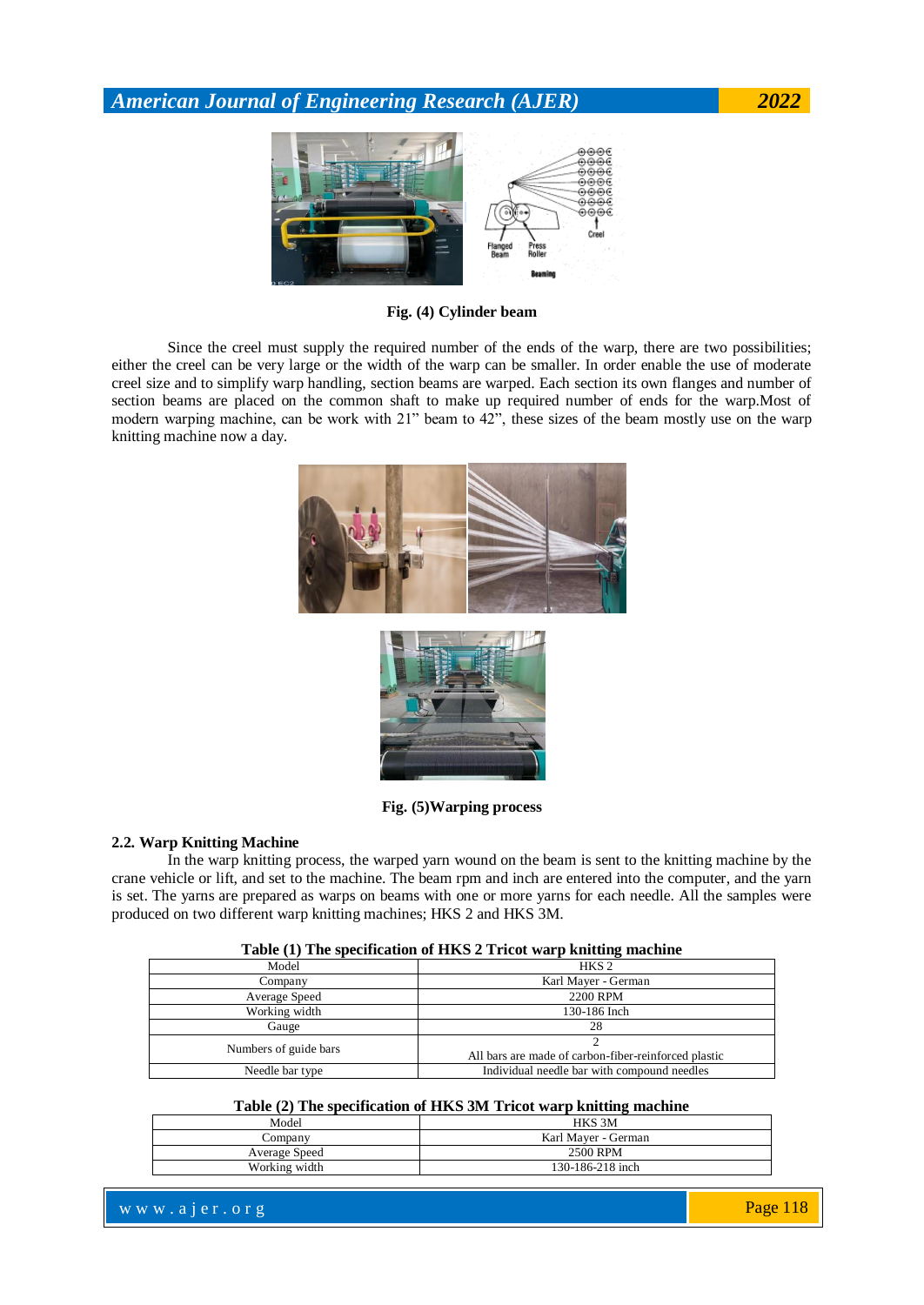

**Fig. (4) Cylinder beam**

Since the creel must supply the required number of the ends of the warp, there are two possibilities; either the creel can be very large or the width of the warp can be smaller. In order enable the use of moderate creel size and to simplify warp handling, section beams are warped. Each section its own flanges and number of section beams are placed on the common shaft to make up required number of ends for the warp.Most of modern warping machine, can be work with 21" beam to 42", these sizes of the beam mostly use on the warp knitting machine now a day.





**Fig. (5)Warping process**

#### **2.2. Warp Knitting Machine**

In the warp knitting process, the warped yarn wound on the beam is sent to the knitting machine by the crane vehicle or lift, and set to the machine. The beam rpm and inch are entered into the computer, and the yarn is set. The yarns are prepared as warps on beams with one or more yarns for each needle. All the samples were produced on two different warp knitting machines; HKS 2 and HKS 3M.

| Table (1) The specification of HKS 2 Tricot warp knitting machine |  |  |  |  |  |  |
|-------------------------------------------------------------------|--|--|--|--|--|--|
|-------------------------------------------------------------------|--|--|--|--|--|--|

| Model                 | HKS <sub>2</sub>                                     |  |  |
|-----------------------|------------------------------------------------------|--|--|
| Company               | Karl Mayer - German                                  |  |  |
| Average Speed         | 2200 RPM                                             |  |  |
| Working width         | 130-186 Inch                                         |  |  |
| Gauge                 | 28                                                   |  |  |
| Numbers of guide bars | All bars are made of carbon-fiber-reinforced plastic |  |  |
| Needle bar type       | Individual needle bar with compound needles          |  |  |

#### **Table (2) The specification of HKS 3M Tricot warp knitting machine**

| Model         | HKS 3M              |
|---------------|---------------------|
| Company       | Karl Maver - German |
| Average Speed | 2500 RPM            |
| Working width | 130-186-218 inch    |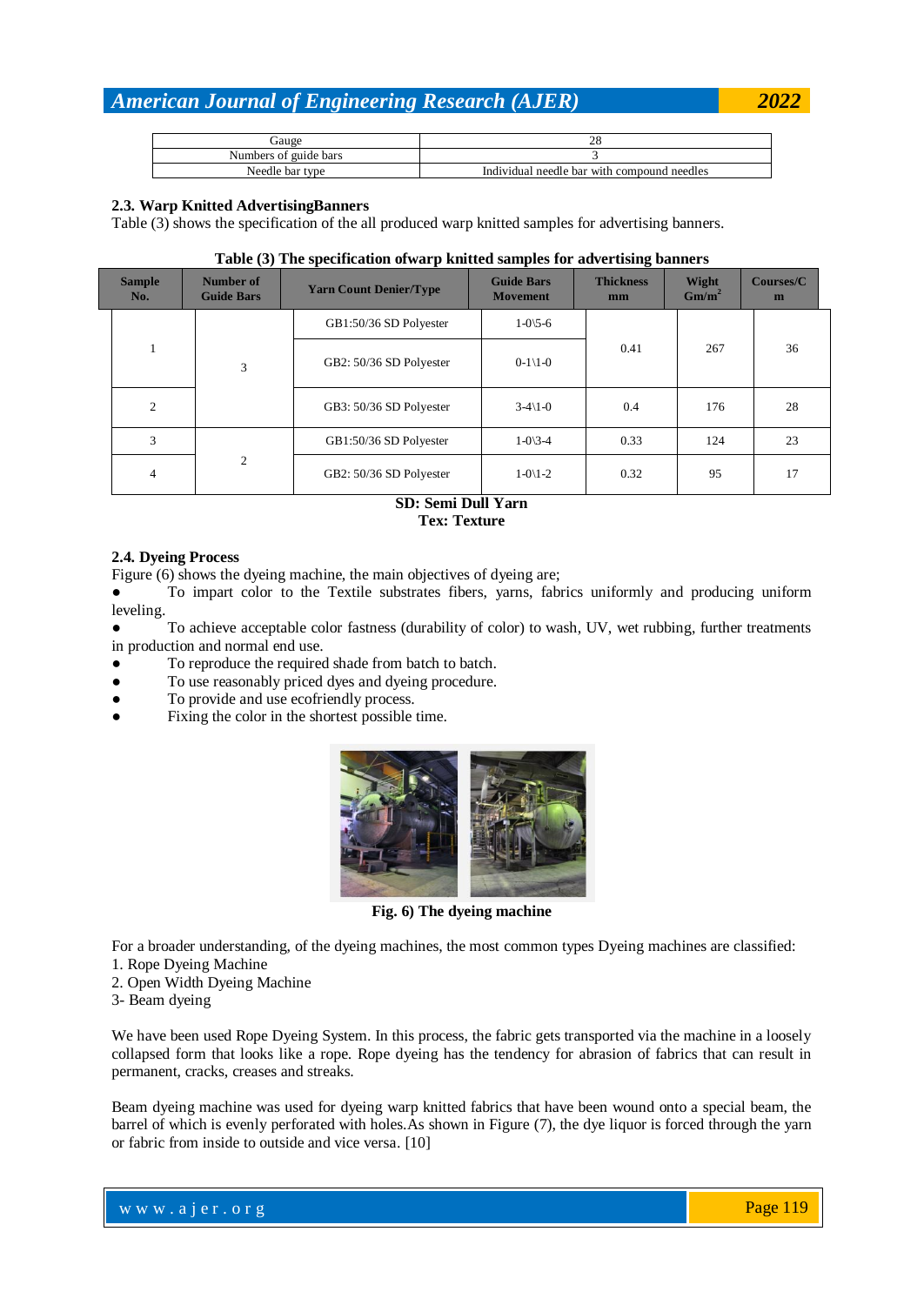| jauge                 | 20                                          |
|-----------------------|---------------------------------------------|
| Numbers of guide bars |                                             |
| Needle bar type       | Individual needle bar with compound needles |

#### **2.3. Warp Knitted AdvertisingBanners**

Table (3) shows the specification of the all produced warp knitted samples for advertising banners.

#### **Table (3) The specification ofwarp knitted samples for advertising banners**

| <b>Sample</b><br>No. | $\sim$ $\sim$<br>Number of<br><b>Guide Bars</b> | <b>Yarn Count Denier/Type</b> | <b>Guide Bars</b><br><b>Movement</b> | ັ<br><b>Thickness</b><br>mm | Wight<br>$Gm/m^2$ | Courses/C<br>m |
|----------------------|-------------------------------------------------|-------------------------------|--------------------------------------|-----------------------------|-------------------|----------------|
|                      |                                                 | GB1:50/36 SD Polyester        | $1 - 0 \times -6$                    |                             | 267               | 36             |
|                      | 3                                               | GB2: 50/36 SD Polyester       | $0-1 \le 0$                          | 0.41                        |                   |                |
| $\overline{c}$       |                                                 | GB3: 50/36 SD Polyester       | $3-4\le 1-0$                         | 0.4                         | 176               | 28             |
| 3                    |                                                 | GB1:50/36 SD Polyester        | $1 - 0 \times 3 - 4$                 | 0.33                        | 124               | 23             |
| $\overline{4}$       | 2                                               | GB2: 50/36 SD Polyester       | $1-0\frac{1}{2}$                     | 0.32                        | 95                | 17             |

#### **SD: Semi Dull Yarn Tex: Texture**

#### **2.4. Dyeing Process**

Figure (6) shows the dyeing machine, the main objectives of dyeing are;

● To impart color to the Textile substrates fibers, yarns, fabrics uniformly and producing uniform leveling.

To achieve acceptable color fastness (durability of color) to wash, UV, wet rubbing, further treatments in production and normal end use.

- To reproduce the required shade from batch to batch.
- To use reasonably priced dyes and dyeing procedure.
- To provide and use ecofriendly process.
- Fixing the color in the shortest possible time.



**Fig. 6) The dyeing machine**

For a broader understanding, of the dyeing machines, the most common types Dyeing machines are classified:

1. Rope Dyeing Machine

- 2. Open Width Dyeing Machine
- 3- Beam dyeing

We have been used Rope Dyeing System. In this process, the fabric gets transported via the machine in a loosely collapsed form that looks like a rope. Rope dyeing has the tendency for abrasion of fabrics that can result in permanent, cracks, creases and streaks.

Beam dyeing machine was used for dyeing warp knitted fabrics that have been wound onto a special beam, the barrel of which is evenly perforated with holes.As shown in Figure (7), the dye liquor is forced through the yarn or fabric from inside to outside and vice versa. [10]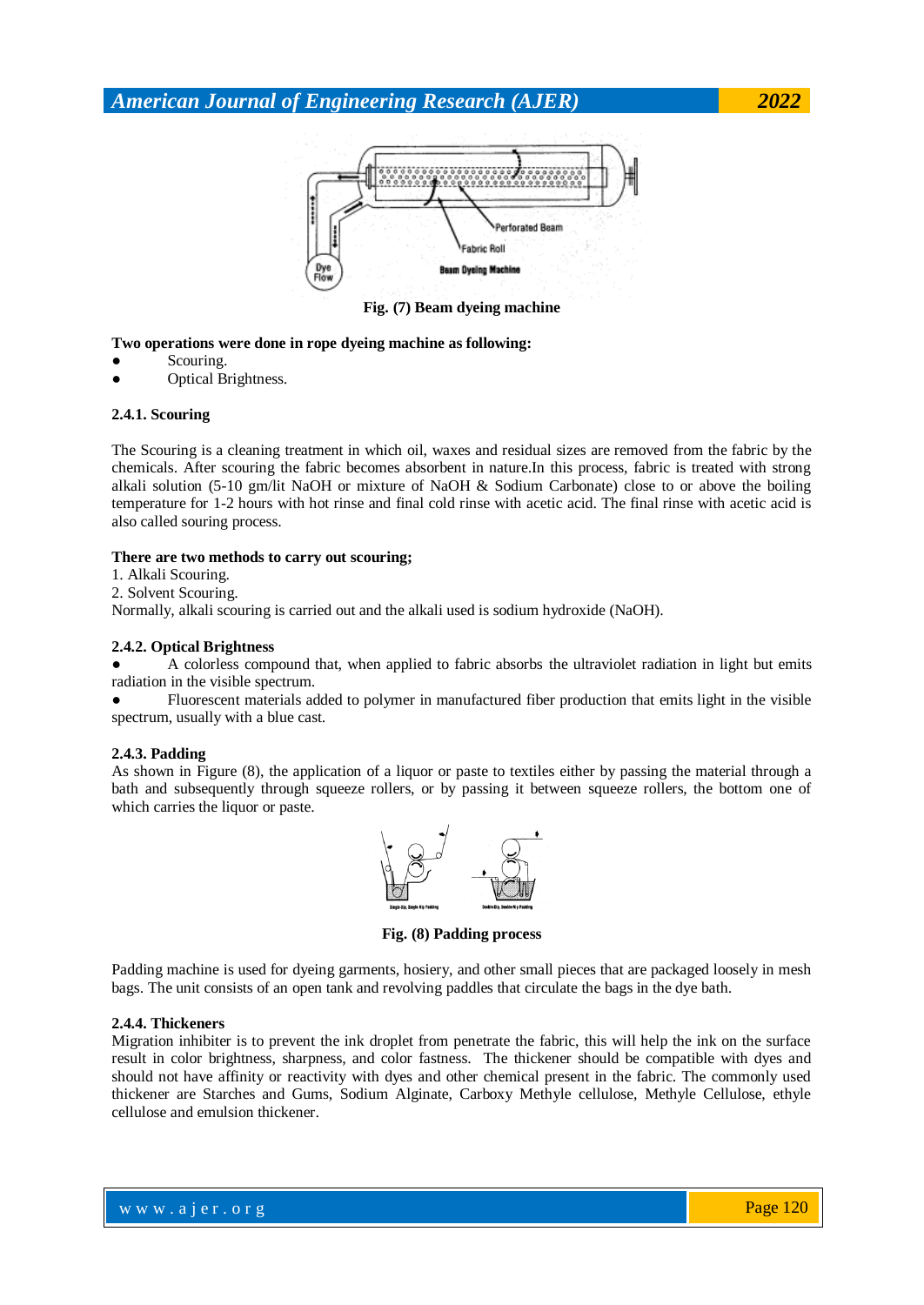

**Fig. (7) Beam dyeing machine**

#### **Two operations were done in rope dyeing machine as following:**

- Scouring.
- Optical Brightness.

#### **2.4.1. Scouring**

The Scouring is a cleaning treatment in which oil, waxes and residual sizes are removed from the fabric by the chemicals. After scouring the fabric becomes absorbent in nature.In this process, fabric is treated with strong alkali solution (5-10 gm/lit NaOH or mixture of NaOH & Sodium Carbonate) close to or above the boiling temperature for 1-2 hours with hot rinse and final cold rinse with acetic acid. The final rinse with acetic acid is also called souring process.

#### **There are two methods to carry out scouring;**

1. Alkali Scouring.

2. Solvent Scouring.

Normally, alkali scouring is carried out and the alkali used is sodium hydroxide (NaOH).

#### **2.4.2. Optical Brightness**

A colorless compound that, when applied to fabric absorbs the ultraviolet radiation in light but emits radiation in the visible spectrum.

Fluorescent materials added to polymer in manufactured fiber production that emits light in the visible spectrum, usually with a blue cast.

#### **2.4.3. Padding**

As shown in Figure (8), the application of a liquor or paste to textiles either by passing the material through a bath and subsequently through squeeze rollers, or by passing it between squeeze rollers, the bottom one of which carries the liquor or paste.



**Fig. (8) Padding process**

Padding machine is used for dyeing garments, hosiery, and other small pieces that are packaged loosely in mesh bags. The unit consists of an open tank and revolving paddles that circulate the bags in the dye bath.

#### **2.4.4. Thickeners**

Migration inhibiter is to prevent the ink droplet from penetrate the fabric, this will help the ink on the surface result in color brightness, sharpness, and color fastness. The thickener should be compatible with dyes and should not have affinity or reactivity with dyes and other chemical present in the fabric. The commonly used thickener are Starches and Gums, Sodium Alginate, Carboxy Methyle cellulose, Methyle Cellulose, ethyle cellulose and emulsion thickener.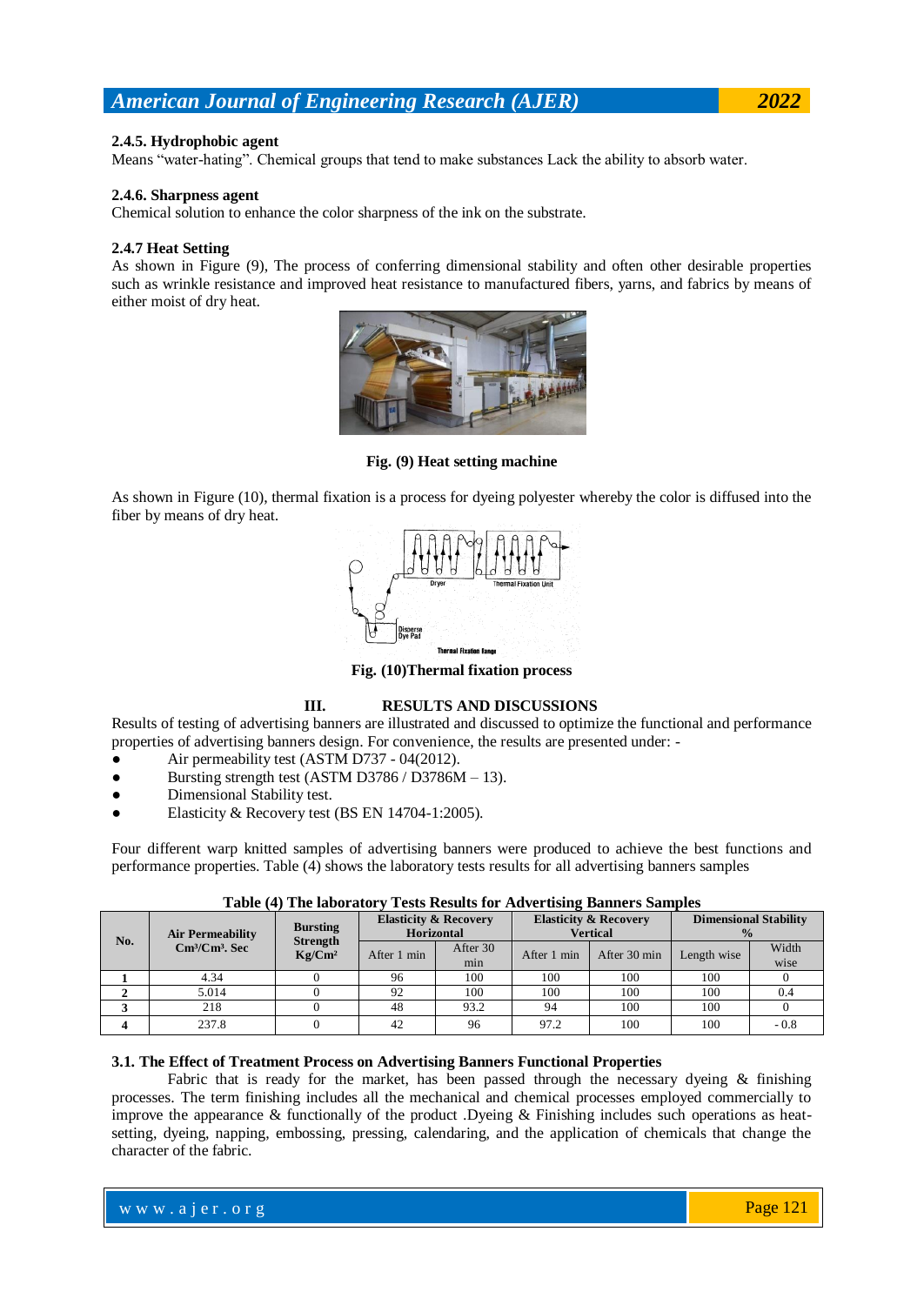#### **2.4.5. Hydrophobic agent**

Means "water-hating". Chemical groups that tend to make substances Lack the ability to absorb water.

#### **2.4.6. Sharpness agent**

Chemical solution to enhance the color sharpness of the ink on the substrate.

#### **2.4.7 Heat Setting**

As shown in Figure (9), The process of conferring dimensional stability and often other desirable properties such as wrinkle resistance and improved heat resistance to manufactured fibers, yarns, and fabrics by means of either moist of dry heat.



**Fig. (9) Heat setting machine**

As shown in Figure (10), thermal fixation is a process for dyeing polyester whereby the color is diffused into the fiber by means of dry heat.



**Fig. (10)Thermal fixation process**

#### **III. RESULTS AND DISCUSSIONS**

Results of testing of advertising banners are illustrated and discussed to optimize the functional and performance properties of advertising banners design. For convenience, the results are presented under: -

- Air permeability test (ASTM D737 04(2012).
- Bursting strength test (ASTM D3786 / D3786M 13).
- Dimensional Stability test.
- Elasticity & Recovery test (BS EN 14704-1:2005).

Four different warp knitted samples of advertising banners were produced to achieve the best functions and performance properties. Table (4) shows the laboratory tests results for all advertising banners samples

|     |                                                                |                                                          |                                                       |                 | $\cdot$                                             |              |                                               |               |
|-----|----------------------------------------------------------------|----------------------------------------------------------|-------------------------------------------------------|-----------------|-----------------------------------------------------|--------------|-----------------------------------------------|---------------|
| No. | <b>Air Permeability</b><br>$\mathrm{Cm}^3/\mathrm{Cm}^3$ . Sec | <b>Bursting</b><br><b>Strength</b><br>Kg/Cm <sup>2</sup> | <b>Elasticity &amp; Recovery</b><br><b>Horizontal</b> |                 | <b>Elasticity &amp; Recovery</b><br><b>Vertical</b> |              | <b>Dimensional Stability</b><br>$\frac{0}{2}$ |               |
|     |                                                                |                                                          | After 1 min                                           | After 30<br>min | After 1 min                                         | After 30 min | Length wise                                   | Width<br>wise |
|     |                                                                |                                                          |                                                       |                 |                                                     |              |                                               |               |
|     | 4.34                                                           |                                                          | 96                                                    | 100             | 100                                                 | 100          | 100                                           |               |
|     | 5.014                                                          |                                                          | 92                                                    | 100             | 100                                                 | 100          | 100                                           | 0.4           |
|     | 218                                                            |                                                          | 48                                                    | 93.2            | 94                                                  | 100          | 100                                           |               |
|     | 237.8                                                          |                                                          | 42                                                    | 96              | 97.2                                                | 100          | 100                                           | - 0.8         |

**Table (4) The laboratory Tests Results for Advertising Banners Samples**

### **3.1. The Effect of Treatment Process on Advertising Banners Functional Properties**

Fabric that is ready for the market, has been passed through the necessary dyeing  $\&$  finishing processes. The term finishing includes all the mechanical and chemical processes employed commercially to improve the appearance & functionally of the product .Dyeing & Finishing includes such operations as heatsetting, dyeing, napping, embossing, pressing, calendaring, and the application of chemicals that change the character of the fabric.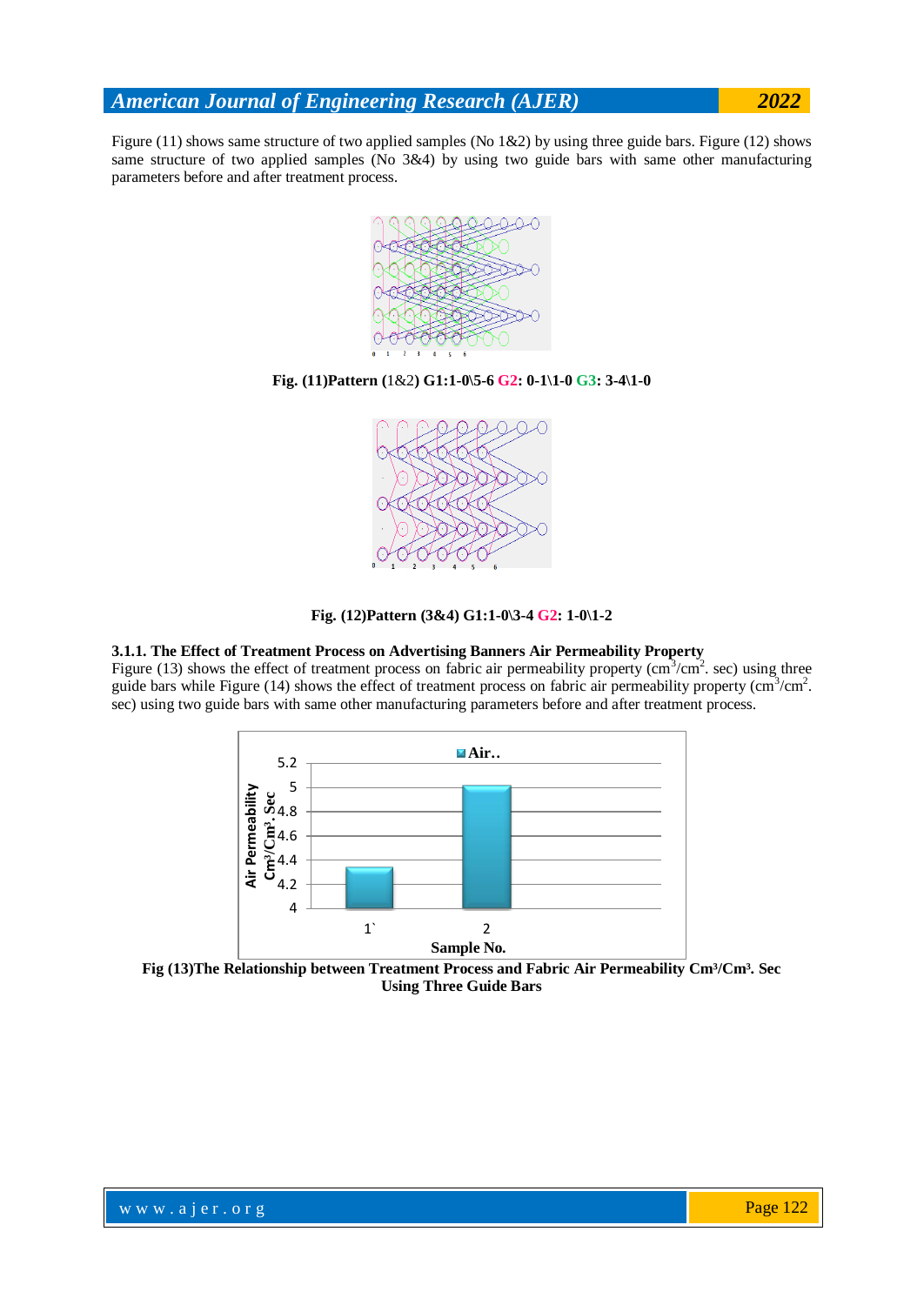Figure (11) shows same structure of two applied samples (No 1&2) by using three guide bars. Figure (12) shows same structure of two applied samples (No 3&4) by using two guide bars with same other manufacturing parameters before and after treatment process.



#### **Fig. (11)Pattern (**1&2**) G1:1-0\5-6 G2: 0-1\1-0 G3: 3-4\1-0**



#### **Fig. (12)Pattern (3&4) G1:1-0\3-4 G2: 1-0\1-2**

#### **3.1.1. The Effect of Treatment Process on Advertising Banners Air Permeability Property**

Figure (13) shows the effect of treatment process on fabric air permeability property ( $\text{cm}^3/\text{cm}^2$ . sec) using three guide bars while Figure (14) shows the effect of treatment process on fabric air permeability property (cm<sup>3</sup>/cm<sup>2</sup>. sec) using two guide bars with same other manufacturing parameters before and after treatment process.



Fig (13)The Relationship between Treatment Process and Fabric Air Permeability Cm<sup>3</sup>/Cm<sup>3</sup>. Sec **Using Three Guide Bars**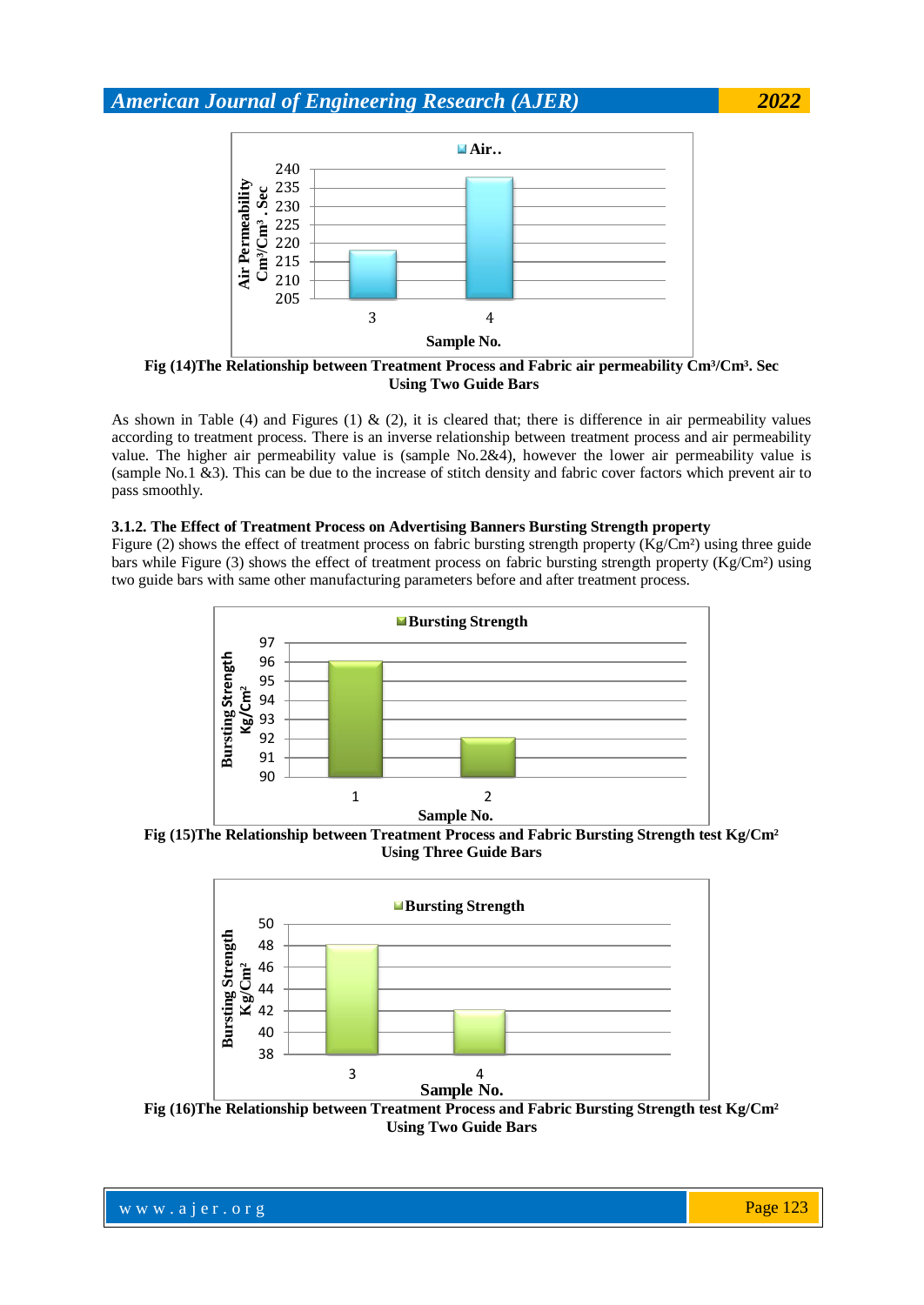

Fig (14)The Relationship between Treatment Process and Fabric air permeability Cm<sup>3</sup>/Cm<sup>3</sup>. Sec **Using Two Guide Bars**

As shown in Table (4) and Figures (1) & (2), it is cleared that; there is difference in air permeability values according to treatment process. There is an inverse relationship between treatment process and air permeability value. The higher air permeability value is (sample No.2&4), however the lower air permeability value is (sample No.1 &3). This can be due to the increase of stitch density and fabric cover factors which prevent air to pass smoothly.

#### **3.1.2. The Effect of Treatment Process on Advertising Banners Bursting Strength property**

Figure (2) shows the effect of treatment process on fabric bursting strength property (Kg/Cm<sup>2</sup>) using three guide bars while Figure (3) shows the effect of treatment process on fabric bursting strength property (Kg/Cm<sup>2</sup>) using two guide bars with same other manufacturing parameters before and after treatment process.



**Fig (15)The Relationship between Treatment Process and Fabric Bursting Strength test Kg/Cm² Using Three Guide Bars**



**Fig (16)The Relationship between Treatment Process and Fabric Bursting Strength test Kg/Cm² Using Two Guide Bars**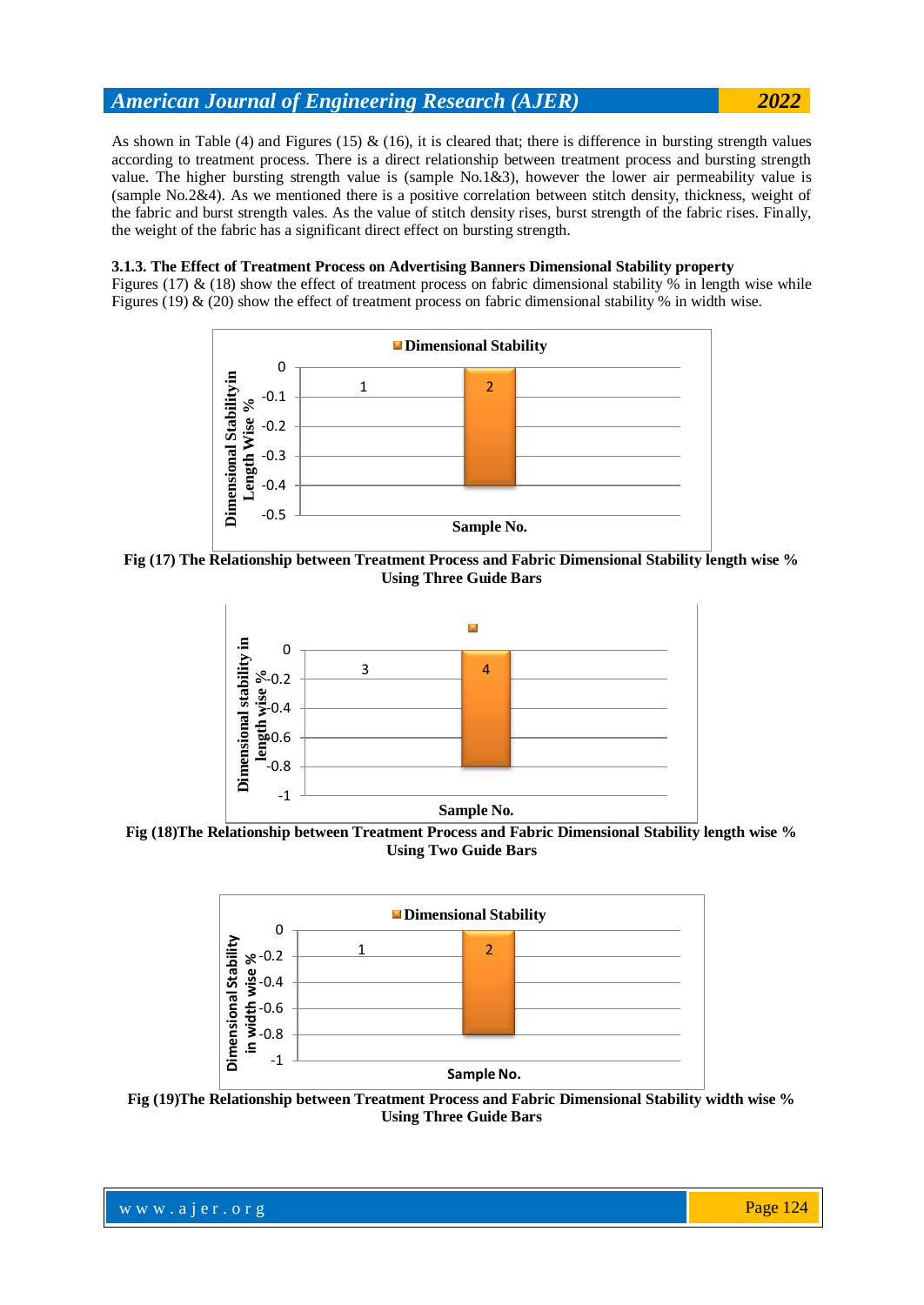As shown in Table (4) and Figures (15) & (16), it is cleared that; there is difference in bursting strength values according to treatment process. There is a direct relationship between treatment process and bursting strength value. The higher bursting strength value is (sample No.1&3), however the lower air permeability value is (sample No.2&4). As we mentioned there is a positive correlation between stitch density, thickness, weight of the fabric and burst strength vales. As the value of stitch density rises, burst strength of the fabric rises. Finally, the weight of the fabric has a significant direct effect on bursting strength.

#### **3.1.3. The Effect of Treatment Process on Advertising Banners Dimensional Stability property**

Figures (17) & (18) show the effect of treatment process on fabric dimensional stability % in length wise while Figures (19) & (20) show the effect of treatment process on fabric dimensional stability % in width wise.



**Fig (17) The Relationship between Treatment Process and Fabric Dimensional Stability length wise % Using Three Guide Bars**



**Fig (18)The Relationship between Treatment Process and Fabric Dimensional Stability length wise % Using Two Guide Bars**